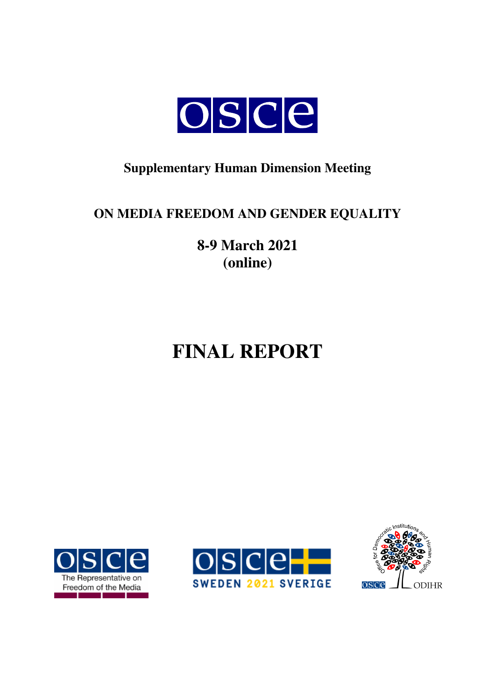

## **Supplementary Human Dimension Meeting**

## **ON MEDIA FREEDOM AND GENDER EQUALITY**

**8-9 March 2021 (online)** 

# **FINAL REPORT**





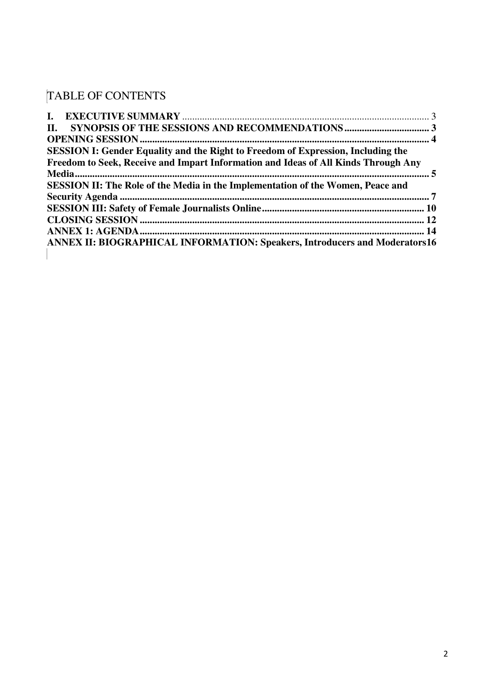# TABLE OF CONTENTS

| П.                                                                                      |  |
|-----------------------------------------------------------------------------------------|--|
|                                                                                         |  |
| <b>SESSION I: Gender Equality and the Right to Freedom of Expression, Including the</b> |  |
| Freedom to Seek, Receive and Impart Information and Ideas of All Kinds Through Any      |  |
|                                                                                         |  |
| <b>SESSION II: The Role of the Media in the Implementation of the Women, Peace and</b>  |  |
|                                                                                         |  |
|                                                                                         |  |
|                                                                                         |  |
|                                                                                         |  |
| ANNEX II: BIOGRAPHICAL INFORMATION: Speakers, Introducers and Moderators16              |  |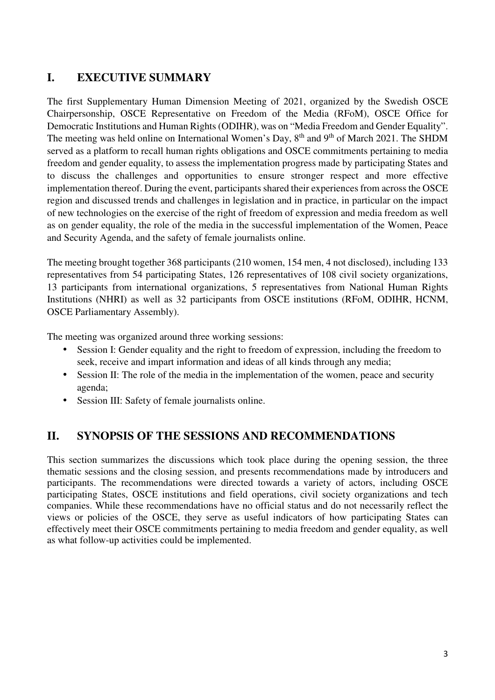## **I. EXECUTIVE SUMMARY**

The first Supplementary Human Dimension Meeting of 2021, organized by the Swedish OSCE Chairpersonship, OSCE Representative on Freedom of the Media (RFoM), OSCE Office for Democratic Institutions and Human Rights (ODIHR), was on "Media Freedom and Gender Equality". The meeting was held online on International Women's Day, 8<sup>th</sup> and 9<sup>th</sup> of March 2021. The SHDM served as a platform to recall human rights obligations and OSCE commitments pertaining to media freedom and gender equality, to assess the implementation progress made by participating States and to discuss the challenges and opportunities to ensure stronger respect and more effective implementation thereof. During the event, participants shared their experiences from across the OSCE region and discussed trends and challenges in legislation and in practice, in particular on the impact of new technologies on the exercise of the right of freedom of expression and media freedom as well as on gender equality, the role of the media in the successful implementation of the Women, Peace and Security Agenda, and the safety of female journalists online.

The meeting brought together 368 participants (210 women, 154 men, 4 not disclosed), including 133 representatives from 54 participating States, 126 representatives of 108 civil society organizations, 13 participants from international organizations, 5 representatives from National Human Rights Institutions (NHRI) as well as 32 participants from OSCE institutions (RFoM, ODIHR, HCNM, OSCE Parliamentary Assembly).

The meeting was organized around three working sessions:

- Session I: Gender equality and the right to freedom of expression, including the freedom to seek, receive and impart information and ideas of all kinds through any media;
- Session II: The role of the media in the implementation of the women, peace and security agenda;
- Session III: Safety of female journalists online.

### **II. SYNOPSIS OF THE SESSIONS AND RECOMMENDATIONS**

This section summarizes the discussions which took place during the opening session, the three thematic sessions and the closing session, and presents recommendations made by introducers and participants. The recommendations were directed towards a variety of actors, including OSCE participating States, OSCE institutions and field operations, civil society organizations and tech companies. While these recommendations have no official status and do not necessarily reflect the views or policies of the OSCE, they serve as useful indicators of how participating States can effectively meet their OSCE commitments pertaining to media freedom and gender equality, as well as what follow-up activities could be implemented.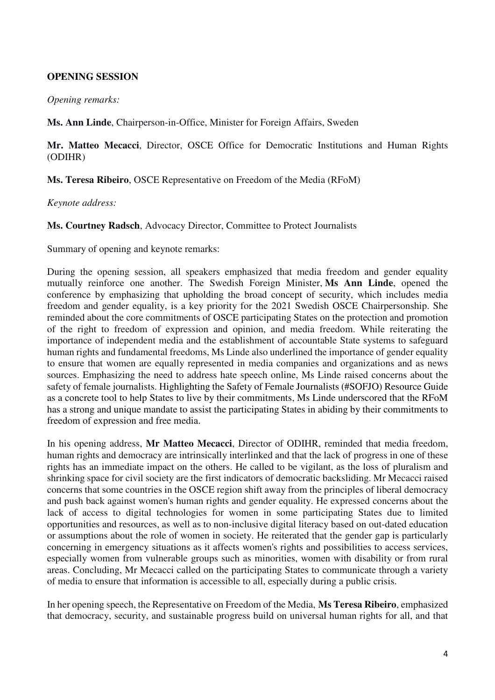#### **OPENING SESSION**

#### *Opening remarks:*

**Ms. Ann Linde**, Chairperson-in-Office, Minister for Foreign Affairs, Sweden

**Mr. Matteo Mecacci**, Director, OSCE Office for Democratic Institutions and Human Rights (ODIHR)

**Ms. Teresa Ribeiro**, OSCE Representative on Freedom of the Media (RFoM)

*Keynote address:* 

**Ms. Courtney Radsch**, Advocacy Director, Committee to Protect Journalists

Summary of opening and keynote remarks:

During the opening session, all speakers emphasized that media freedom and gender equality mutually reinforce one another. The Swedish Foreign Minister, **Ms Ann Linde**, opened the conference by emphasizing that upholding the broad concept of security, which includes media freedom and gender equality, is a key priority for the 2021 Swedish OSCE Chairpersonship. She reminded about the core commitments of OSCE participating States on the protection and promotion of the right to freedom of expression and opinion, and media freedom. While reiterating the importance of independent media and the establishment of accountable State systems to safeguard human rights and fundamental freedoms, Ms Linde also underlined the importance of gender equality to ensure that women are equally represented in media companies and organizations and as news sources. Emphasizing the need to address hate speech online, Ms Linde raised concerns about the safety of female journalists. Highlighting the Safety of Female Journalists (#SOFJO) Resource Guide as a concrete tool to help States to live by their commitments, Ms Linde underscored that the RFoM has a strong and unique mandate to assist the participating States in abiding by their commitments to freedom of expression and free media.

In his opening address, **Mr Matteo Mecacci**, Director of ODIHR, reminded that media freedom, human rights and democracy are intrinsically interlinked and that the lack of progress in one of these rights has an immediate impact on the others. He called to be vigilant, as the loss of pluralism and shrinking space for civil society are the first indicators of democratic backsliding. Mr Mecacci raised concerns that some countries in the OSCE region shift away from the principles of liberal democracy and push back against women's human rights and gender equality. He expressed concerns about the lack of access to digital technologies for women in some participating States due to limited opportunities and resources, as well as to non-inclusive digital literacy based on out-dated education or assumptions about the role of women in society. He reiterated that the gender gap is particularly concerning in emergency situations as it affects women's rights and possibilities to access services, especially women from vulnerable groups such as minorities, women with disability or from rural areas. Concluding, Mr Mecacci called on the participating States to communicate through a variety of media to ensure that information is accessible to all, especially during a public crisis.

In her opening speech, the Representative on Freedom of the Media, **Ms Teresa Ribeiro**, emphasized that democracy, security, and sustainable progress build on universal human rights for all, and that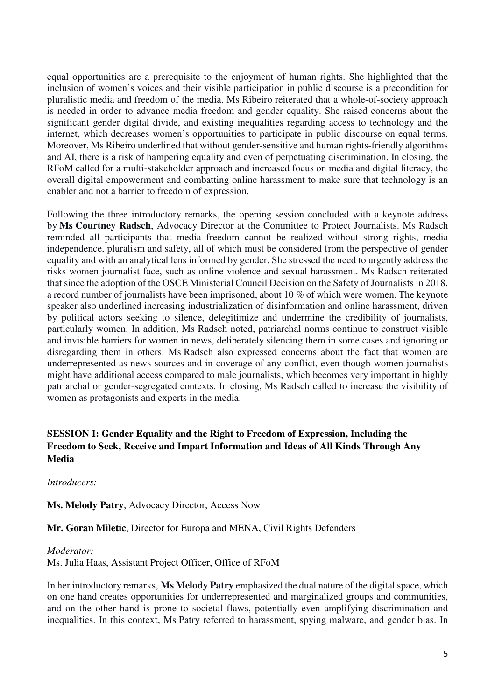equal opportunities are a prerequisite to the enjoyment of human rights. She highlighted that the inclusion of women's voices and their visible participation in public discourse is a precondition for pluralistic media and freedom of the media. Ms Ribeiro reiterated that a whole-of-society approach is needed in order to advance media freedom and gender equality. She raised concerns about the significant gender digital divide, and existing inequalities regarding access to technology and the internet, which decreases women's opportunities to participate in public discourse on equal terms. Moreover, Ms Ribeiro underlined that without gender-sensitive and human rights-friendly algorithms and AI, there is a risk of hampering equality and even of perpetuating discrimination. In closing, the RFoM called for a multi-stakeholder approach and increased focus on media and digital literacy, the overall digital empowerment and combatting online harassment to make sure that technology is an enabler and not a barrier to freedom of expression.

Following the three introductory remarks, the opening session concluded with a keynote address by **Ms Courtney Radsch**, Advocacy Director at the Committee to Protect Journalists. Ms Radsch reminded all participants that media freedom cannot be realized without strong rights, media independence, pluralism and safety, all of which must be considered from the perspective of gender equality and with an analytical lens informed by gender. She stressed the need to urgently address the risks women journalist face, such as online violence and sexual harassment. Ms Radsch reiterated that since the adoption of the OSCE Ministerial Council Decision on the Safety of Journalists in 2018, a record number of journalists have been imprisoned, about 10 % of which were women. The keynote speaker also underlined increasing industrialization of disinformation and online harassment, driven by political actors seeking to silence, delegitimize and undermine the credibility of journalists, particularly women. In addition, Ms Radsch noted, patriarchal norms continue to construct visible and invisible barriers for women in news, deliberately silencing them in some cases and ignoring or disregarding them in others. Ms Radsch also expressed concerns about the fact that women are underrepresented as news sources and in coverage of any conflict, even though women journalists might have additional access compared to male journalists, which becomes very important in highly patriarchal or gender-segregated contexts. In closing, Ms Radsch called to increase the visibility of women as protagonists and experts in the media.

#### **SESSION I: Gender Equality and the Right to Freedom of Expression, Including the Freedom to Seek, Receive and Impart Information and Ideas of All Kinds Through Any Media**

*Introducers:* 

**Ms. Melody Patry**, Advocacy Director, Access Now

**Mr. Goran Miletic**, Director for Europa and MENA, Civil Rights Defenders

*Moderator:* 

Ms. Julia Haas, Assistant Project Officer, Office of RFoM

In her introductory remarks, **Ms Melody Patry** emphasized the dual nature of the digital space, which on one hand creates opportunities for underrepresented and marginalized groups and communities, and on the other hand is prone to societal flaws, potentially even amplifying discrimination and inequalities. In this context, Ms Patry referred to harassment, spying malware, and gender bias. In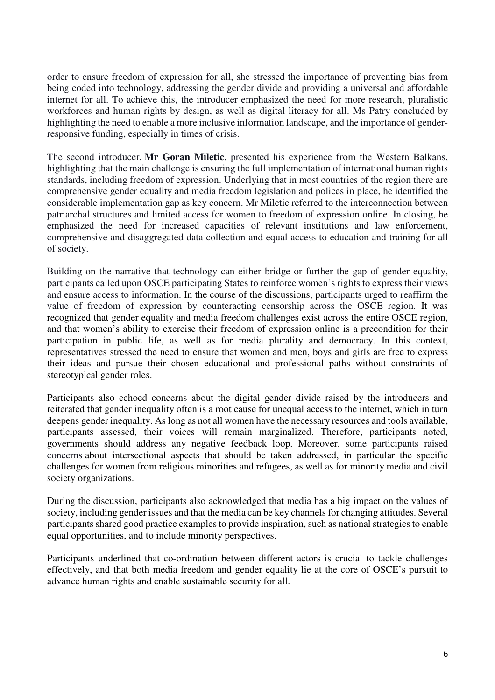order to ensure freedom of expression for all, she stressed the importance of preventing bias from being coded into technology, addressing the gender divide and providing a universal and affordable internet for all. To achieve this, the introducer emphasized the need for more research, pluralistic workforces and human rights by design, as well as digital literacy for all. Ms Patry concluded by highlighting the need to enable a more inclusive information landscape, and the importance of genderresponsive funding, especially in times of crisis.

The second introducer, **Mr Goran Miletic**, presented his experience from the Western Balkans, highlighting that the main challenge is ensuring the full implementation of international human rights standards, including freedom of expression. Underlying that in most countries of the region there are comprehensive gender equality and media freedom legislation and polices in place, he identified the considerable implementation gap as key concern. Mr Miletic referred to the interconnection between patriarchal structures and limited access for women to freedom of expression online. In closing, he emphasized the need for increased capacities of relevant institutions and law enforcement, comprehensive and disaggregated data collection and equal access to education and training for all of society.

Building on the narrative that technology can either bridge or further the gap of gender equality, participants called upon OSCE participating States to reinforce women's rights to express their views and ensure access to information. In the course of the discussions, participants urged to reaffirm the value of freedom of expression by counteracting censorship across the OSCE region. It was recognized that gender equality and media freedom challenges exist across the entire OSCE region, and that women's ability to exercise their freedom of expression online is a precondition for their participation in public life, as well as for media plurality and democracy. In this context, representatives stressed the need to ensure that women and men, boys and girls are free to express their ideas and pursue their chosen educational and professional paths without constraints of stereotypical gender roles.

Participants also echoed concerns about the digital gender divide raised by the introducers and reiterated that gender inequality often is a root cause for unequal access to the internet, which in turn deepens gender inequality. As long as not all women have the necessary resources and tools available, participants assessed, their voices will remain marginalized. Therefore, participants noted, governments should address any negative feedback loop. Moreover, some participants raised concerns about intersectional aspects that should be taken addressed, in particular the specific challenges for women from religious minorities and refugees, as well as for minority media and civil society organizations.

During the discussion, participants also acknowledged that media has a big impact on the values of society, including gender issues and that the media can be key channels for changing attitudes. Several participants shared good practice examples to provide inspiration, such as national strategies to enable equal opportunities, and to include minority perspectives.

Participants underlined that co-ordination between different actors is crucial to tackle challenges effectively, and that both media freedom and gender equality lie at the core of OSCE's pursuit to advance human rights and enable sustainable security for all.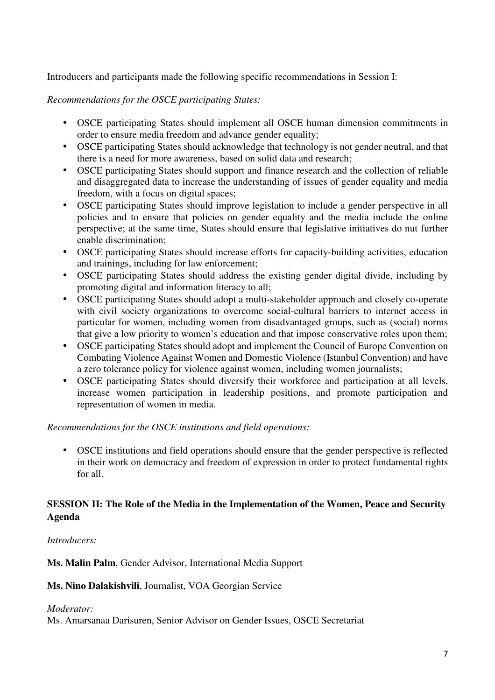Introducers and participants made the following specific recommendations in Session I:

#### *Recommendations for the OSCE participating States:*

- OSCE participating States should implement all OSCE human dimension commitments in order to ensure media freedom and advance gender equality;
- OSCE participating States should acknowledge that technology is not gender neutral, and that there is a need for more awareness, based on solid data and research;
- OSCE participating States should support and finance research and the collection of reliable and disaggregated data to increase the understanding of issues of gender equality and media freedom, with a focus on digital spaces;
- OSCE participating States should improve legislation to include a gender perspective in all policies and to ensure that policies on gender equality and the media include the online perspective; at the same time, States should ensure that legislative initiatives do nut further enable discrimination;
- OSCE participating States should increase efforts for capacity-building activities, education and trainings, including for law enforcement;
- OSCE participating States should address the existing gender digital divide, including by promoting digital and information literacy to all;
- OSCE participating States should adopt a multi-stakeholder approach and closely co-operate with civil society organizations to overcome social-cultural barriers to internet access in particular for women, including women from disadvantaged groups, such as (social) norms that give a low priority to women's education and that impose conservative roles upon them;
- OSCE participating States should adopt and implement the Council of Europe Convention on Combating Violence Against Women and Domestic Violence (Istanbul Convention) and have a zero tolerance policy for violence against women, including women journalists;
- OSCE participating States should diversify their workforce and participation at all levels, increase women participation in leadership positions, and promote participation and representation of women in media.

#### *Recommendations for the OSCE institutions and field operations:*

• OSCE institutions and field operations should ensure that the gender perspective is reflected in their work on democracy and freedom of expression in order to protect fundamental rights for all.

#### **SESSION II: The Role of the Media in the Implementation of the Women, Peace and Security Agenda**

#### *Introducers:*

**Ms. Malin Palm**, Gender Advisor, International Media Support

#### **Ms. Nino Dalakishvili**, Journalist, VOA Georgian Service

#### *Moderator:*

Ms. Amarsanaa Darisuren, Senior Advisor on Gender Issues, OSCE Secretariat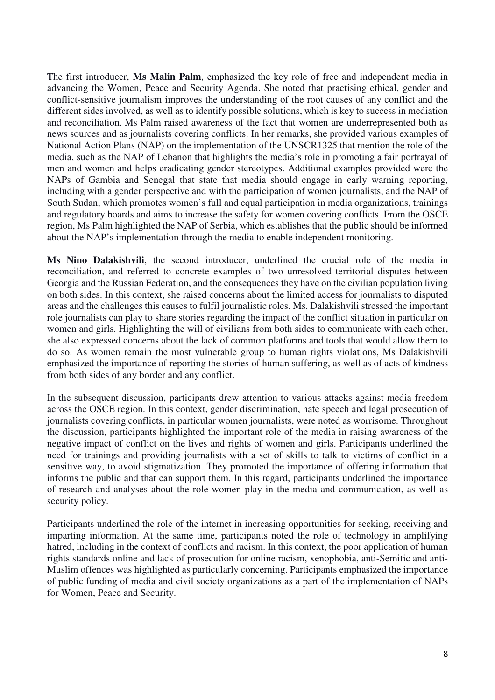The first introducer, **Ms Malin Palm**, emphasized the key role of free and independent media in advancing the Women, Peace and Security Agenda. She noted that practising ethical, gender and conflict-sensitive journalism improves the understanding of the root causes of any conflict and the different sides involved, as well as to identify possible solutions, which is key to success in mediation and reconciliation. Ms Palm raised awareness of the fact that women are underrepresented both as news sources and as journalists covering conflicts. In her remarks, she provided various examples of National Action Plans (NAP) on the implementation of the UNSCR1325 that mention the role of the media, such as the NAP of Lebanon that highlights the media's role in promoting a fair portrayal of men and women and helps eradicating gender stereotypes. Additional examples provided were the NAPs of Gambia and Senegal that state that media should engage in early warning reporting, including with a gender perspective and with the participation of women journalists, and the NAP of South Sudan, which promotes women's full and equal participation in media organizations, trainings and regulatory boards and aims to increase the safety for women covering conflicts. From the OSCE region, Ms Palm highlighted the NAP of Serbia, which establishes that the public should be informed about the NAP's implementation through the media to enable independent monitoring.

**Ms Nino Dalakishvili**, the second introducer, underlined the crucial role of the media in reconciliation, and referred to concrete examples of two unresolved territorial disputes between Georgia and the Russian Federation, and the consequences they have on the civilian population living on both sides. In this context, she raised concerns about the limited access for journalists to disputed areas and the challenges this causes to fulfil journalistic roles. Ms. Dalakishvili stressed the important role journalists can play to share stories regarding the impact of the conflict situation in particular on women and girls. Highlighting the will of civilians from both sides to communicate with each other, she also expressed concerns about the lack of common platforms and tools that would allow them to do so. As women remain the most vulnerable group to human rights violations, Ms Dalakishvili emphasized the importance of reporting the stories of human suffering, as well as of acts of kindness from both sides of any border and any conflict.

In the subsequent discussion, participants drew attention to various attacks against media freedom across the OSCE region. In this context, gender discrimination, hate speech and legal prosecution of journalists covering conflicts, in particular women journalists, were noted as worrisome. Throughout the discussion, participants highlighted the important role of the media in raising awareness of the negative impact of conflict on the lives and rights of women and girls. Participants underlined the need for trainings and providing journalists with a set of skills to talk to victims of conflict in a sensitive way, to avoid stigmatization. They promoted the importance of offering information that informs the public and that can support them. In this regard, participants underlined the importance of research and analyses about the role women play in the media and communication, as well as security policy.

Participants underlined the role of the internet in increasing opportunities for seeking, receiving and imparting information. At the same time, participants noted the role of technology in amplifying hatred, including in the context of conflicts and racism. In this context, the poor application of human rights standards online and lack of prosecution for online racism, xenophobia, anti-Semitic and anti-Muslim offences was highlighted as particularly concerning. Participants emphasized the importance of public funding of media and civil society organizations as a part of the implementation of NAPs for Women, Peace and Security.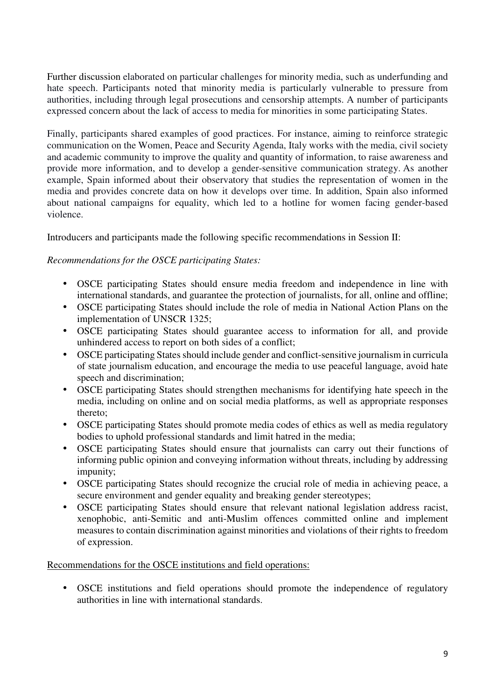Further discussion elaborated on particular challenges for minority media, such as underfunding and hate speech. Participants noted that minority media is particularly vulnerable to pressure from authorities, including through legal prosecutions and censorship attempts. A number of participants expressed concern about the lack of access to media for minorities in some participating States.

Finally, participants shared examples of good practices. For instance, aiming to reinforce strategic communication on the Women, Peace and Security Agenda, Italy works with the media, civil society and academic community to improve the quality and quantity of information, to raise awareness and provide more information, and to develop a gender-sensitive communication strategy. As another example, Spain informed about their observatory that studies the representation of women in the media and provides concrete data on how it develops over time. In addition, Spain also informed about national campaigns for equality, which led to a hotline for women facing gender-based violence.

Introducers and participants made the following specific recommendations in Session II:

#### *Recommendations for the OSCE participating States:*

- OSCE participating States should ensure media freedom and independence in line with international standards, and guarantee the protection of journalists, for all, online and offline;
- OSCE participating States should include the role of media in National Action Plans on the implementation of UNSCR 1325;
- OSCE participating States should guarantee access to information for all, and provide unhindered access to report on both sides of a conflict;
- OSCE participating States should include gender and conflict-sensitive journalism in curricula of state journalism education, and encourage the media to use peaceful language, avoid hate speech and discrimination;
- OSCE participating States should strengthen mechanisms for identifying hate speech in the media, including on online and on social media platforms, as well as appropriate responses thereto;
- OSCE participating States should promote media codes of ethics as well as media regulatory bodies to uphold professional standards and limit hatred in the media;
- OSCE participating States should ensure that journalists can carry out their functions of informing public opinion and conveying information without threats, including by addressing impunity;
- OSCE participating States should recognize the crucial role of media in achieving peace, a secure environment and gender equality and breaking gender stereotypes;
- OSCE participating States should ensure that relevant national legislation address racist, xenophobic, anti-Semitic and anti-Muslim offences committed online and implement measures to contain discrimination against minorities and violations of their rights to freedom of expression.

Recommendations for the OSCE institutions and field operations:

• OSCE institutions and field operations should promote the independence of regulatory authorities in line with international standards.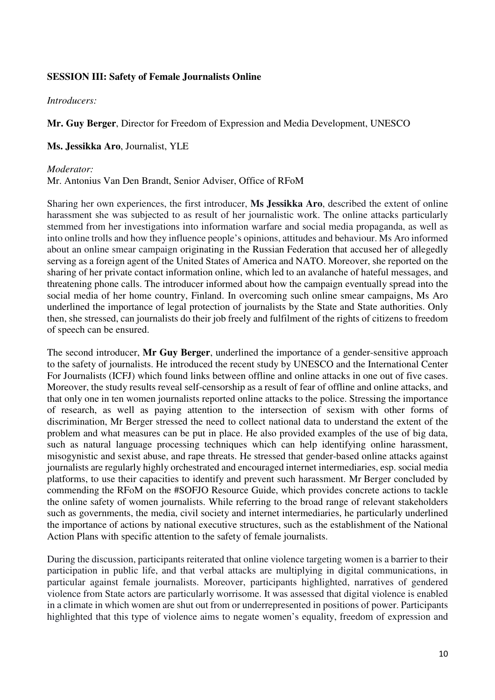#### **SESSION III: Safety of Female Journalists Online**

*Introducers:* 

**Mr. Guy Berger**, Director for Freedom of Expression and Media Development, UNESCO

**Ms. Jessikka Aro**, Journalist, YLE

#### *Moderator:*

Mr. Antonius Van Den Brandt, Senior Adviser, Office of RFoM

Sharing her own experiences, the first introducer, **Ms Jessikka Aro**, described the extent of online harassment she was subjected to as result of her journalistic work. The online attacks particularly stemmed from her investigations into information warfare and social media propaganda, as well as into online trolls and how they influence people's opinions, attitudes and behaviour. Ms Aro informed about an online smear campaign originating in the Russian Federation that accused her of allegedly serving as a foreign agent of the United States of America and NATO. Moreover, she reported on the sharing of her private contact information online, which led to an avalanche of hateful messages, and threatening phone calls. The introducer informed about how the campaign eventually spread into the social media of her home country, Finland. In overcoming such online smear campaigns, Ms Aro underlined the importance of legal protection of journalists by the State and State authorities. Only then, she stressed, can journalists do their job freely and fulfilment of the rights of citizens to freedom of speech can be ensured.

The second introducer, **Mr Guy Berger**, underlined the importance of a gender-sensitive approach to the safety of journalists. He introduced the recent study by UNESCO and the International Center For Journalists (ICFJ) which found links between offline and online attacks in one out of five cases. Moreover, the study results reveal self-censorship as a result of fear of offline and online attacks, and that only one in ten women journalists reported online attacks to the police. Stressing the importance of research, as well as paying attention to the intersection of sexism with other forms of discrimination, Mr Berger stressed the need to collect national data to understand the extent of the problem and what measures can be put in place. He also provided examples of the use of big data, such as natural language processing techniques which can help identifying online harassment, misogynistic and sexist abuse, and rape threats. He stressed that gender-based online attacks against journalists are regularly highly orchestrated and encouraged internet intermediaries, esp. social media platforms, to use their capacities to identify and prevent such harassment. Mr Berger concluded by commending the RFoM on the #SOFJO Resource Guide, which provides concrete actions to tackle the online safety of women journalists. While referring to the broad range of relevant stakeholders such as governments, the media, civil society and internet intermediaries, he particularly underlined the importance of actions by national executive structures, such as the establishment of the National Action Plans with specific attention to the safety of female journalists.

During the discussion, participants reiterated that online violence targeting women is a barrier to their participation in public life, and that verbal attacks are multiplying in digital communications, in particular against female journalists. Moreover, participants highlighted, narratives of gendered violence from State actors are particularly worrisome. It was assessed that digital violence is enabled in a climate in which women are shut out from or underrepresented in positions of power. Participants highlighted that this type of violence aims to negate women's equality, freedom of expression and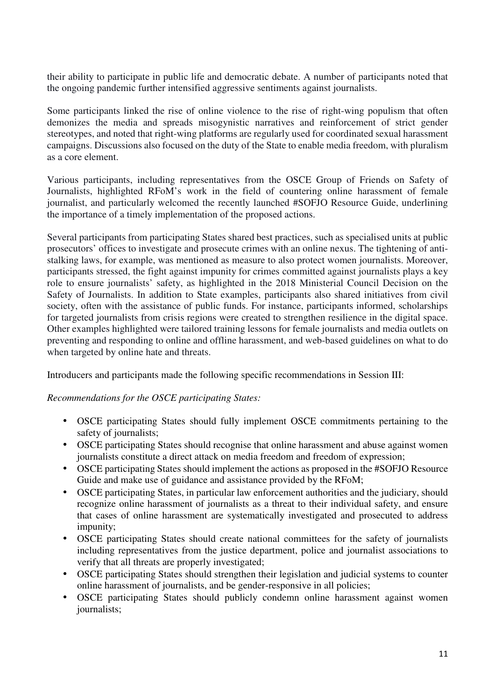their ability to participate in public life and democratic debate. A number of participants noted that the ongoing pandemic further intensified aggressive sentiments against journalists.

Some participants linked the rise of online violence to the rise of right-wing populism that often demonizes the media and spreads misogynistic narratives and reinforcement of strict gender stereotypes, and noted that right-wing platforms are regularly used for coordinated sexual harassment campaigns. Discussions also focused on the duty of the State to enable media freedom, with pluralism as a core element.

Various participants, including representatives from the OSCE Group of Friends on Safety of Journalists, highlighted RFoM's work in the field of countering online harassment of female journalist, and particularly welcomed the recently launched #SOFJO Resource Guide, underlining the importance of a timely implementation of the proposed actions.

Several participants from participating States shared best practices, such as specialised units at public prosecutors' offices to investigate and prosecute crimes with an online nexus. The tightening of antistalking laws, for example, was mentioned as measure to also protect women journalists. Moreover, participants stressed, the fight against impunity for crimes committed against journalists plays a key role to ensure journalists' safety, as highlighted in the 2018 Ministerial Council Decision on the Safety of Journalists. In addition to State examples, participants also shared initiatives from civil society, often with the assistance of public funds. For instance, participants informed, scholarships for targeted journalists from crisis regions were created to strengthen resilience in the digital space. Other examples highlighted were tailored training lessons for female journalists and media outlets on preventing and responding to online and offline harassment, and web-based guidelines on what to do when targeted by online hate and threats.

Introducers and participants made the following specific recommendations in Session III:

#### *Recommendations for the OSCE participating States:*

- OSCE participating States should fully implement OSCE commitments pertaining to the safety of journalists;
- OSCE participating States should recognise that online harassment and abuse against women journalists constitute a direct attack on media freedom and freedom of expression;
- OSCE participating States should implement the actions as proposed in the #SOFJO Resource Guide and make use of guidance and assistance provided by the RFoM;
- OSCE participating States, in particular law enforcement authorities and the judiciary, should recognize online harassment of journalists as a threat to their individual safety, and ensure that cases of online harassment are systematically investigated and prosecuted to address impunity;
- OSCE participating States should create national committees for the safety of journalists including representatives from the justice department, police and journalist associations to verify that all threats are properly investigated;
- OSCE participating States should strengthen their legislation and judicial systems to counter online harassment of journalists, and be gender-responsive in all policies;
- OSCE participating States should publicly condemn online harassment against women journalists;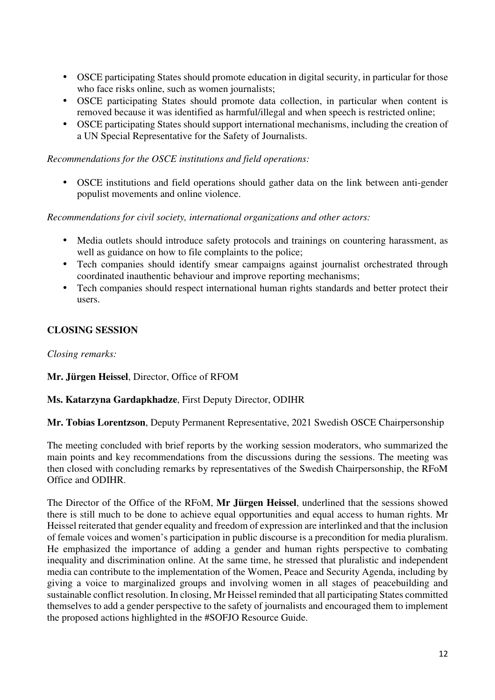- OSCE participating States should promote education in digital security, in particular for those who face risks online, such as women journalists;
- OSCE participating States should promote data collection, in particular when content is removed because it was identified as harmful/illegal and when speech is restricted online;
- OSCE participating States should support international mechanisms, including the creation of a UN Special Representative for the Safety of Journalists.

*Recommendations for the OSCE institutions and field operations:* 

• OSCE institutions and field operations should gather data on the link between anti-gender populist movements and online violence.

*Recommendations for civil society, international organizations and other actors:* 

- Media outlets should introduce safety protocols and trainings on countering harassment, as well as guidance on how to file complaints to the police;
- Tech companies should identify smear campaigns against journalist orchestrated through coordinated inauthentic behaviour and improve reporting mechanisms;
- Tech companies should respect international human rights standards and better protect their users.

#### **CLOSING SESSION**

*Closing remarks:* 

#### **Mr. Jürgen Heissel**, Director, Office of RFOM

#### **Ms. Katarzyna Gardapkhadze**, First Deputy Director, ODIHR

**Mr. Tobias Lorentzson**, Deputy Permanent Representative, 2021 Swedish OSCE Chairpersonship

The meeting concluded with brief reports by the working session moderators, who summarized the main points and key recommendations from the discussions during the sessions. The meeting was then closed with concluding remarks by representatives of the Swedish Chairpersonship, the RFoM Office and ODIHR.

The Director of the Office of the RFoM, **Mr Jürgen Heissel**, underlined that the sessions showed there is still much to be done to achieve equal opportunities and equal access to human rights. Mr Heissel reiterated that gender equality and freedom of expression are interlinked and that the inclusion of female voices and women's participation in public discourse is a precondition for media pluralism. He emphasized the importance of adding a gender and human rights perspective to combating inequality and discrimination online. At the same time, he stressed that pluralistic and independent media can contribute to the implementation of the Women, Peace and Security Agenda, including by giving a voice to marginalized groups and involving women in all stages of peacebuilding and sustainable conflict resolution. In closing, Mr Heissel reminded that all participating States committed themselves to add a gender perspective to the safety of journalists and encouraged them to implement the proposed actions highlighted in the #SOFJO Resource Guide.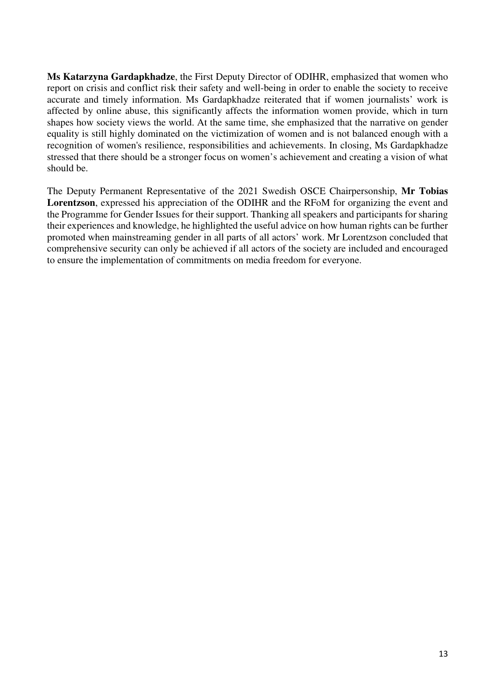**Ms Katarzyna Gardapkhadze**, the First Deputy Director of ODIHR, emphasized that women who report on crisis and conflict risk their safety and well-being in order to enable the society to receive accurate and timely information. Ms Gardapkhadze reiterated that if women journalists' work is affected by online abuse, this significantly affects the information women provide, which in turn shapes how society views the world. At the same time, she emphasized that the narrative on gender equality is still highly dominated on the victimization of women and is not balanced enough with a recognition of women's resilience, responsibilities and achievements. In closing, Ms Gardapkhadze stressed that there should be a stronger focus on women's achievement and creating a vision of what should be.

The Deputy Permanent Representative of the 2021 Swedish OSCE Chairpersonship, **Mr Tobias Lorentzson**, expressed his appreciation of the ODIHR and the RFoM for organizing the event and the Programme for Gender Issues for their support. Thanking all speakers and participants for sharing their experiences and knowledge, he highlighted the useful advice on how human rights can be further promoted when mainstreaming gender in all parts of all actors' work. Mr Lorentzson concluded that comprehensive security can only be achieved if all actors of the society are included and encouraged to ensure the implementation of commitments on media freedom for everyone.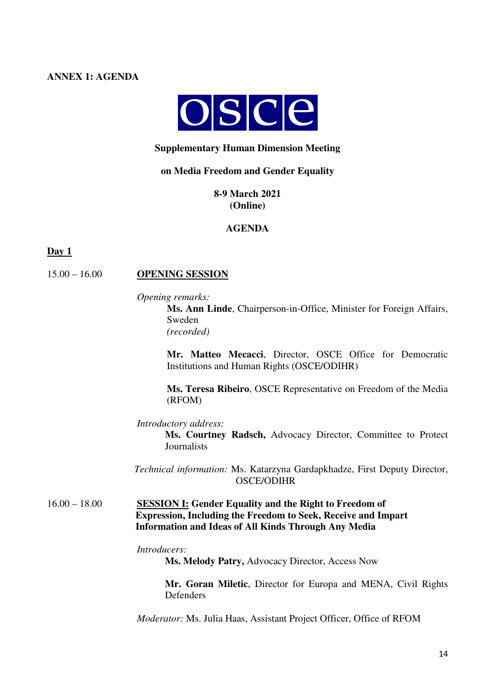#### **ANNEX 1: AGENDA**



#### **Supplementary Human Dimension Meeting**

#### **on Media Freedom and Gender Equality**

**8-9 March 2021 (Online)** 

**AGENDA** 

#### **Day 1**

#### 15.00 – 16.00 **OPENING SESSION**

*Opening remarks:*

**Ms. Ann Linde**, Chairperson-in-Office, Minister for Foreign Affairs, Sweden *(recorded)* 

**Mr. Matteo Mecacci**, Director, OSCE Office for Democratic Institutions and Human Rights (OSCE/ODIHR)

**Ms. Teresa Ribeiro**, OSCE Representative on Freedom of the Media (RFOM)

*Introductory address:* 

**Ms. Courtney Radsch,** Advocacy Director, Committee to Protect **Journalists** 

 *Technical information:* Ms. Katarzyna Gardapkhadze, First Deputy Director, OSCE/ODIHR

16.00 – 18.00 **SESSION I: Gender Equality and the Right to Freedom of Expression, Including the Freedom to Seek, Receive and Impart Information and Ideas of All Kinds Through Any Media** 

*Introducers:* 

**Ms. Melody Patry,** Advocacy Director, Access Now

**Mr. Goran Miletic**, Director for Europa and MENA, Civil Rights Defenders

*Moderator:* Ms. Julia Haas, Assistant Project Officer, Office of RFOM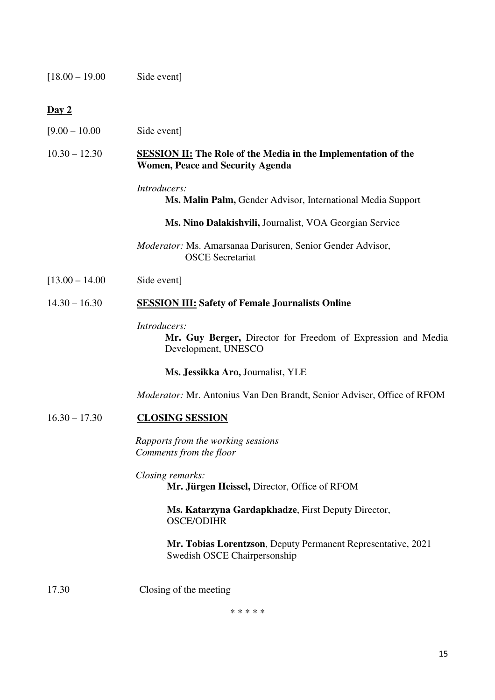[18.00 – 19.00 Side event]

#### **Day 2**

[9.00 – 10.00 Side event]

#### 10.30 – 12.30 **SESSION II: The Role of the Media in the Implementation of the Women, Peace and Security Agenda**

#### *Introducers:*

**Ms. Malin Palm,** Gender Advisor, International Media Support

**Ms. Nino Dalakishvili,** Journalist, VOA Georgian Service

*Moderator:* Ms. Amarsanaa Darisuren, Senior Gender Advisor, OSCE Secretariat

[13.00 – 14.00 Side event]

#### 14.30 – 16.30 **SESSION III: Safety of Female Journalists Online**

#### *Introducers:*

**Mr. Guy Berger,** Director for Freedom of Expression and Media Development, UNESCO

**Ms. Jessikka Aro,** Journalist, YLE

*Moderator:* Mr. Antonius Van Den Brandt, Senior Adviser, Office of RFOM

#### 16.30 – 17.30 **CLOSING SESSION**

*Rapports from the working sessions Comments from the floor* 

*Closing remarks:* 

**Mr. Jürgen Heissel,** Director, Office of RFOM

**Ms. Katarzyna Gardapkhadze**, First Deputy Director, OSCE/ODIHR

**Mr. Tobias Lorentzson**, Deputy Permanent Representative, 2021 Swedish OSCE Chairpersonship

17.30 Closing of the meeting

\* \* \* \* \*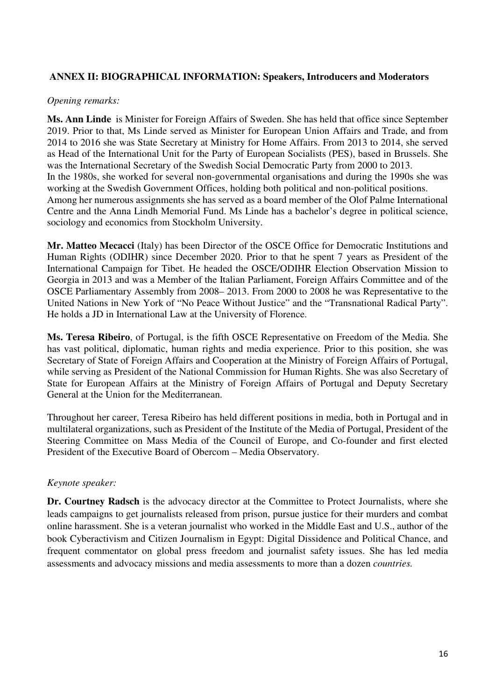#### **ANNEX II: BIOGRAPHICAL INFORMATION: Speakers, Introducers and Moderators**

#### *Opening remarks:*

**Ms. Ann Linde** is Minister for Foreign Affairs of Sweden. She has held that office since September 2019. Prior to that, Ms Linde served as Minister for European Union Affairs and Trade, and from 2014 to 2016 she was State Secretary at Ministry for Home Affairs. From 2013 to 2014, she served as Head of the International Unit for the Party of European Socialists (PES), based in Brussels. She was the International Secretary of the Swedish Social Democratic Party from 2000 to 2013. In the 1980s, she worked for several non-governmental organisations and during the 1990s she was working at the Swedish Government Offices, holding both political and non-political positions. Among her numerous assignments she has served as a board member of the Olof Palme International Centre and the Anna Lindh Memorial Fund. Ms Linde has a bachelor's degree in political science, sociology and economics from Stockholm University.

**Mr. Matteo Mecacci** (Italy) has been Director of the OSCE Office for Democratic Institutions and Human Rights (ODIHR) since December 2020. Prior to that he spent 7 years as President of the International Campaign for Tibet. He headed the OSCE/ODIHR Election Observation Mission to Georgia in 2013 and was a Member of the Italian Parliament, Foreign Affairs Committee and of the OSCE Parliamentary Assembly from 2008– 2013. From 2000 to 2008 he was Representative to the United Nations in New York of "No Peace Without Justice" and the "Transnational Radical Party". He holds a JD in International Law at the University of Florence.

**Ms. Teresa Ribeiro**, of Portugal, is the fifth OSCE Representative on Freedom of the Media. She has vast political, diplomatic, human rights and media experience. Prior to this position, she was Secretary of State of Foreign Affairs and Cooperation at the Ministry of Foreign Affairs of Portugal, while serving as President of the National Commission for Human Rights. She was also Secretary of State for European Affairs at the Ministry of Foreign Affairs of Portugal and Deputy Secretary General at the Union for the Mediterranean.

Throughout her career, Teresa Ribeiro has held different positions in media, both in Portugal and in multilateral organizations, such as President of the Institute of the Media of Portugal, President of the Steering Committee on Mass Media of the Council of Europe, and Co-founder and first elected President of the Executive Board of Obercom – Media Observatory.

#### *Keynote speaker:*

**Dr. Courtney Radsch** is the advocacy director at the Committee to Protect Journalists, where she leads campaigns to get journalists released from prison, pursue justice for their murders and combat online harassment. She is a veteran journalist who worked in the Middle East and U.S., author of the book Cyberactivism and Citizen Journalism in Egypt: Digital Dissidence and Political Chance, and frequent commentator on global press freedom and journalist safety issues. She has led media assessments and advocacy missions and media assessments to more than a dozen *countries.*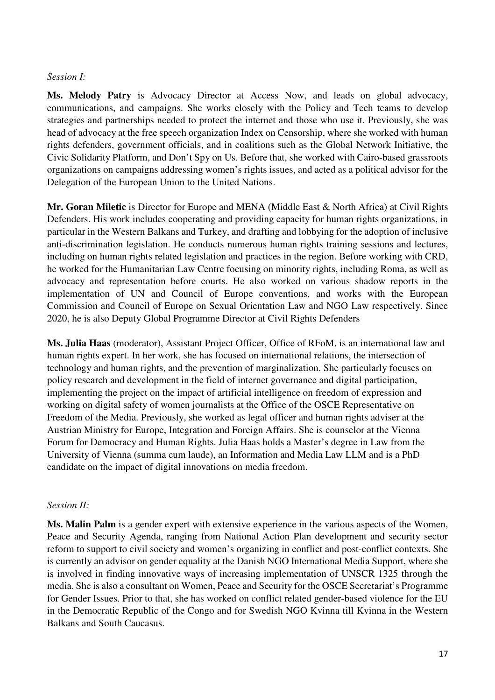#### *Session I:*

**Ms. Melody Patry** is Advocacy Director at Access Now, and leads on global advocacy, communications, and campaigns. She works closely with the Policy and Tech teams to develop strategies and partnerships needed to protect the internet and those who use it. Previously, she was head of advocacy at the free speech organization Index on Censorship, where she worked with human rights defenders, government officials, and in coalitions such as the Global Network Initiative, the Civic Solidarity Platform, and Don't Spy on Us. Before that, she worked with Cairo-based grassroots organizations on campaigns addressing women's rights issues, and acted as a political advisor for the Delegation of the European Union to the United Nations.

**Mr. Goran Miletic** is Director for Europe and MENA (Middle East & North Africa) at Civil Rights Defenders. His work includes cooperating and providing capacity for human rights organizations, in particular in the Western Balkans and Turkey, and drafting and lobbying for the adoption of inclusive anti-discrimination legislation. He conducts numerous human rights training sessions and lectures, including on human rights related legislation and practices in the region. Before working with CRD, he worked for the Humanitarian Law Centre focusing on minority rights, including Roma, as well as advocacy and representation before courts. He also worked on various shadow reports in the implementation of UN and Council of Europe conventions, and works with the European Commission and Council of Europe on Sexual Orientation Law and NGO Law respectively. Since 2020, he is also Deputy Global Programme Director at Civil Rights Defenders

**Ms. Julia Haas** (moderator), Assistant Project Officer, Office of RFoM, is an international law and human rights expert. In her work, she has focused on international relations, the intersection of technology and human rights, and the prevention of marginalization. She particularly focuses on policy research and development in the field of internet governance and digital participation, implementing the project on the impact of artificial intelligence on freedom of expression and working on digital safety of women journalists at the Office of the OSCE Representative on Freedom of the Media. Previously, she worked as legal officer and human rights adviser at the Austrian Ministry for Europe, Integration and Foreign Affairs. She is counselor at the Vienna Forum for Democracy and Human Rights. Julia Haas holds a Master's degree in Law from the University of Vienna (summa cum laude), an Information and Media Law LLM and is a PhD candidate on the impact of digital innovations on media freedom.

#### *Session II:*

**Ms. Malin Palm** is a gender expert with extensive experience in the various aspects of the Women, Peace and Security Agenda, ranging from National Action Plan development and security sector reform to support to civil society and women's organizing in conflict and post-conflict contexts. She is currently an advisor on gender equality at the Danish NGO International Media Support, where she is involved in finding innovative ways of increasing implementation of UNSCR 1325 through the media. She is also a consultant on Women, Peace and Security for the OSCE Secretariat's Programme for Gender Issues. Prior to that, she has worked on conflict related gender-based violence for the EU in the Democratic Republic of the Congo and for Swedish NGO Kvinna till Kvinna in the Western Balkans and South Caucasus.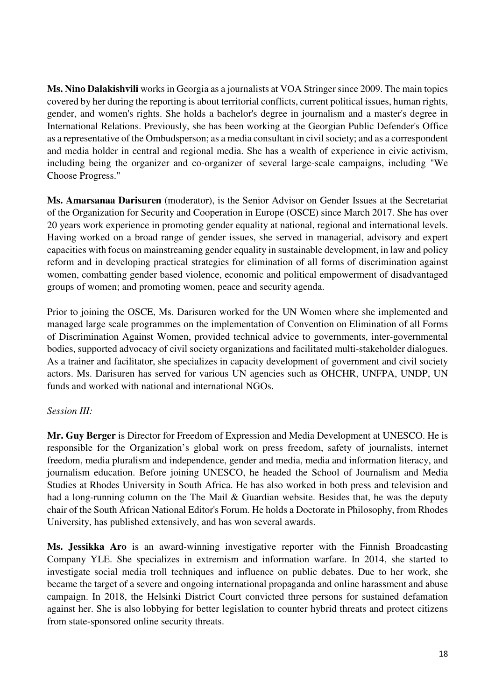**Ms. Nino Dalakishvili** works in Georgia as a journalists at VOA Stringer since 2009. The main topics covered by her during the reporting is about territorial conflicts, current political issues, human rights, gender, and women's rights. She holds a bachelor's degree in journalism and a master's degree in International Relations. Previously, she has been working at the Georgian Public Defender's Office as a representative of the Ombudsperson; as a media consultant in civil society; and as a correspondent and media holder in central and regional media. She has a wealth of experience in civic activism, including being the organizer and co-organizer of several large-scale campaigns, including "We Choose Progress."

**Ms. Amarsanaa Darisuren** (moderator), is the Senior Advisor on Gender Issues at the Secretariat of the Organization for Security and Cooperation in Europe (OSCE) since March 2017. She has over 20 years work experience in promoting gender equality at national, regional and international levels. Having worked on a broad range of gender issues, she served in managerial, advisory and expert capacities with focus on mainstreaming gender equality in sustainable development, in law and policy reform and in developing practical strategies for elimination of all forms of discrimination against women, combatting gender based violence, economic and political empowerment of disadvantaged groups of women; and promoting women, peace and security agenda.

Prior to joining the OSCE, Ms. Darisuren worked for the UN Women where she implemented and managed large scale programmes on the implementation of Convention on Elimination of all Forms of Discrimination Against Women, provided technical advice to governments, inter-governmental bodies, supported advocacy of civil society organizations and facilitated multi-stakeholder dialogues. As a trainer and facilitator, she specializes in capacity development of government and civil society actors. Ms. Darisuren has served for various UN agencies such as OHCHR, UNFPA, UNDP, UN funds and worked with national and international NGOs.

#### *Session III:*

**Mr. Guy Berger** is Director for Freedom of Expression and Media Development at UNESCO. He is responsible for the Organization's global work on press freedom, safety of journalists, internet freedom, media pluralism and independence, gender and media, media and information literacy, and journalism education. Before joining UNESCO, he headed the School of Journalism and Media Studies at Rhodes University in South Africa. He has also worked in both press and television and had a long-running column on the The Mail & Guardian website. Besides that, he was the deputy chair of the South African National Editor's Forum. He holds a Doctorate in Philosophy, from Rhodes University, has published extensively, and has won several awards.

**Ms. Jessikka Aro** is an award-winning investigative reporter with the Finnish Broadcasting Company YLE. She specializes in extremism and information warfare. In 2014, she started to investigate social media troll techniques and influence on public debates. Due to her work, she became the target of a severe and ongoing international propaganda and online harassment and abuse campaign. In 2018, the Helsinki District Court convicted three persons for sustained defamation against her. She is also lobbying for better legislation to counter hybrid threats and protect citizens from state-sponsored online security threats.